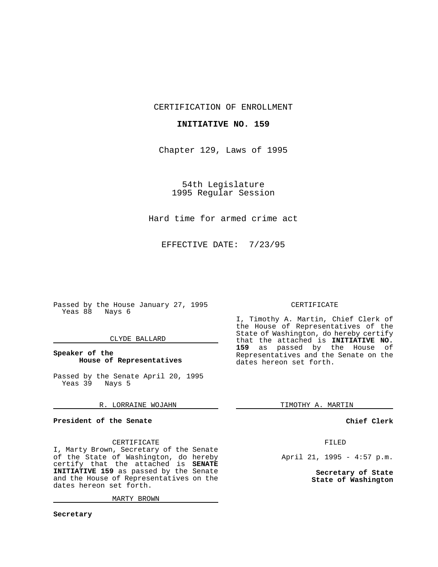CERTIFICATION OF ENROLLMENT

#### **INITIATIVE NO. 159**

Chapter 129, Laws of 1995

54th Legislature 1995 Regular Session

Hard time for armed crime act

EFFECTIVE DATE: 7/23/95

Passed by the House January 27, 1995 Yeas 88 Nays 6

#### CLYDE BALLARD

## **Speaker of the House of Representatives**

Passed by the Senate April 20, 1995 Yeas 39 Nays 5

# R. LORRAINE WOJAHN

# **President of the Senate**

#### CERTIFICATE

I, Marty Brown, Secretary of the Senate of the State of Washington, do hereby certify that the attached is **SENATE INITIATIVE 159** as passed by the Senate and the House of Representatives on the dates hereon set forth.

MARTY BROWN

## CERTIFICATE

I, Timothy A. Martin, Chief Clerk of the House of Representatives of the State of Washington, do hereby certify that the attached is **INITIATIVE NO. 159** as passed by the House of Representatives and the Senate on the dates hereon set forth.

TIMOTHY A. MARTIN

## **Chief Clerk**

# FILED

April 21, 1995 - 4:57 p.m.

**Secretary of State State of Washington**

**Secretary**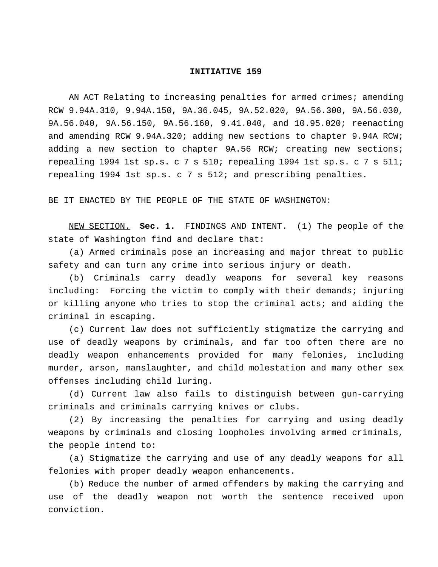## **INITIATIVE 159**

AN ACT Relating to increasing penalties for armed crimes; amending RCW 9.94A.310, 9.94A.150, 9A.36.045, 9A.52.020, 9A.56.300, 9A.56.030, 9A.56.040, 9A.56.150, 9A.56.160, 9.41.040, and 10.95.020; reenacting and amending RCW 9.94A.320; adding new sections to chapter 9.94A RCW; adding a new section to chapter 9A.56 RCW; creating new sections; repealing 1994 1st sp.s.c7s 510; repealing 1994 1st sp.s.c7s 511; repealing 1994 1st sp.s. c 7 s 512; and prescribing penalties.

BE IT ENACTED BY THE PEOPLE OF THE STATE OF WASHINGTON:

NEW SECTION. **Sec. 1.** FINDINGS AND INTENT. (1) The people of the state of Washington find and declare that:

(a) Armed criminals pose an increasing and major threat to public safety and can turn any crime into serious injury or death.

(b) Criminals carry deadly weapons for several key reasons including: Forcing the victim to comply with their demands; injuring or killing anyone who tries to stop the criminal acts; and aiding the criminal in escaping.

(c) Current law does not sufficiently stigmatize the carrying and use of deadly weapons by criminals, and far too often there are no deadly weapon enhancements provided for many felonies, including murder, arson, manslaughter, and child molestation and many other sex offenses including child luring.

(d) Current law also fails to distinguish between gun-carrying criminals and criminals carrying knives or clubs.

(2) By increasing the penalties for carrying and using deadly weapons by criminals and closing loopholes involving armed criminals, the people intend to:

(a) Stigmatize the carrying and use of any deadly weapons for all felonies with proper deadly weapon enhancements.

(b) Reduce the number of armed offenders by making the carrying and use of the deadly weapon not worth the sentence received upon conviction.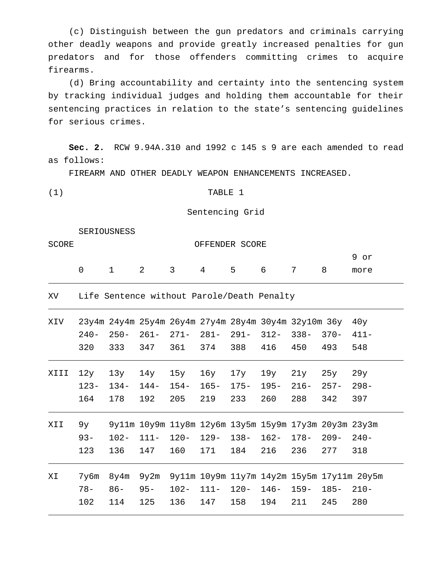(c) Distinguish between the gun predators and criminals carrying other deadly weapons and provide greatly increased penalties for gun predators and for those offenders committing crimes to acquire firearms.

(d) Bring accountability and certainty into the sentencing system by tracking individual judges and holding them accountable for their sentencing practices in relation to the state's sentencing guidelines for serious crimes.

**Sec. 2.** RCW 9.94A.310 and 1992 c 145 s 9 are each amended to read as follows:

FIREARM AND OTHER DEADLY WEAPON ENHANCEMENTS INCREASED.

(1) TABLE 1

Sentencing Grid

SERIOUSNESS

| SCORE |  | OFFENDER SCORE                 |  |  |       |                |  |      |  |  |
|-------|--|--------------------------------|--|--|-------|----------------|--|------|--|--|
|       |  |                                |  |  |       |                |  | 9 or |  |  |
|       |  | $1 \qquad 2 \qquad 3 \qquad 4$ |  |  | 5 6 7 | 8 <sup>8</sup> |  | more |  |  |

XV Life Sentence without Parole/Death Penalty

| XIV  | $240-$<br>320         | $250 -$<br>333       | $261 -$<br>347       | 23y4m 24y4m 25y4m 26y4m 27y4m 28y4m 30y4m 32y10m 36y<br>$271 -$<br>361  | $281 -$<br>374        | $291 -$<br>388        | $312 -$<br>416        | $338 -$<br>450       | $370 -$<br>493        | 40y<br>$411 -$<br>548 |
|------|-----------------------|----------------------|----------------------|-------------------------------------------------------------------------|-----------------------|-----------------------|-----------------------|----------------------|-----------------------|-----------------------|
| XIII | 12y<br>$123 -$<br>164 | 13y<br>$134-$<br>178 | 14y<br>$144-$<br>192 | 15y<br>$154-$<br>205                                                    | 16y<br>$165 -$<br>219 | 17y<br>$175 -$<br>233 | 19y<br>$195 -$<br>260 | 21y<br>$216-$<br>288 | 25y<br>$257 -$<br>342 | 29y<br>$298 -$<br>397 |
|      |                       |                      |                      |                                                                         |                       |                       |                       |                      |                       |                       |
| XII  | 9y<br>$93 -$<br>123   | $102 -$<br>136       | $111 -$<br>147       | 9y11m 10y9m 11y8m 12y6m 13y5m 15y9m 17y3m 20y3m 23y3m<br>$120 -$<br>160 | $129 -$<br>171        | $138 -$<br>184        | $162 -$<br>216        | $178-$<br>236        | $209 -$<br>277        | $240-$<br>318         |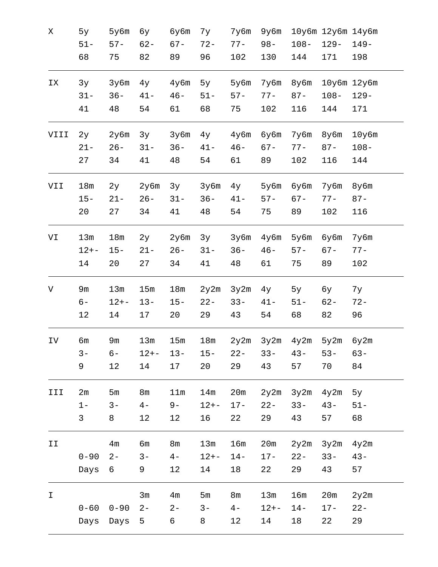| Χ             | 5y           | 5y6m           | бу             | бу6m            | 7y       | 7y6m   | 9y6m     |                      | 10y6m 12y6m 14y6m |             |
|---------------|--------------|----------------|----------------|-----------------|----------|--------|----------|----------------------|-------------------|-------------|
|               | $51 -$       | $57 -$         | $62 -$         | $67 -$          | $72 -$   | $77 -$ | $98 -$   | $108 -$              | $129 -$           | $149 -$     |
|               | 68           | 75             | 82             | 89              | 96       | 102    | 130      | 144                  | 171               | 198         |
| IX            | 3y           | 3y6m           | $4$ y          | $4y$ 6m         | 5y       | 5y6m   | 7y6m     | 8у6m                 |                   | 10y6m 12y6m |
|               | $31 -$       | $36 -$         | $41 -$         | $46 -$          | $51 -$   | $57 -$ | $77 -$   | $87 -$               | $108 -$           | $129 -$     |
|               | 41           | 48             | 54             | 61              | 68       | 75     | 102      | 116                  | 144               | 171         |
| VIII          | 2y           | 2y6m           | 3y             | 3y6m            | $4$ y    | 4y6m   | бубm     | 7y6m                 | 8y6m              | $10y$ 6m    |
|               | $21 -$       | $26 -$         | $31 -$         | $36 -$          | $41 -$   | $46 -$ | $67 -$   | $77 -$               | $87 -$            | $108 -$     |
|               | 27           | 34             | 41             | 48              | 54       | 61     | 89       | 102                  | 116               | 144         |
| VII           | 18m          | 2y             | 2y6m           | 3y              | 3y6m     | $4$ y  | 5у6m     | бу6m                 | 7y6m              | 8y6m        |
|               | $15 -$       | $21 -$         | $26 -$         | $31 -$          | $36 -$   | $41 -$ | $57 -$   | $67 -$               | $77 -$            | $87 -$      |
|               | 20           | 27             | 34             | 41              | 48       | 54     | 75       | 89                   | 102               | 116         |
| VI            | 13m          | 18m            | 2y             | 2y6m            | 3y       | 3y6m   | 4y6m     | 5у6m                 | бу6m              | 7y6m        |
|               | $12 + -$     | $15 -$         | $21 -$         | $26 -$          | $31 -$   | $36 -$ | $46 -$   | $57 -$               | $67 -$            | $77 -$      |
|               | 14           | 20             | 27             | 34              | 41       | 48     | 61       | 75                   | 89                | 102         |
| V             | 9m           | 13m            | 15m            | 18 <sub>m</sub> | 2y2m     | 3y2m   | $4$ y    | 5у                   | бу                | 7у          |
|               | $6-$         | $12 + -$       | $13 -$         | $15 -$          | $22 -$   | $33 -$ | $41 -$   | $51 -$               | $62 -$            | $72 -$      |
|               | 12           | 14             | 17             | 20              | 29       | 43     | 54       | 68                   | 82                | 96          |
| IV            | бm           | 9m             | 13m            | 15m             | 18m      |        |          | $2y2m$ $3y2m$ $4y2m$ | 5y2m              | 6y2m        |
|               |              |                |                |                 |          |        |          |                      |                   |             |
|               | $3 -$        | $6-$           | $12 + -$       | $13 -$          | $15 -$   | $22 -$ | $33 -$   | $43 -$               | $53 -$            | $63 -$      |
|               | 9            | 12             | 14             | 17              | 20       | 29     | 43       | 57                   | 70                | 84          |
| III           | 2m           | 5m             | 8 <sub>m</sub> | 11m             | 14m      | 20m    |          | $2y2m$ $3y2m$        | 4y2m              | 5y          |
|               | $1 -$        | $3 -$          | $4-$           | $9-$            | $12 + -$ | $17 -$ | $22 -$   | $33 -$               | $43 -$            | $51 -$      |
|               | $\mathsf{3}$ | 8              | $12\,$         | 12              | 16       | 22     | 29       | 43                   | 57                | 68          |
| II            |              | 4 <sub>m</sub> | бm             | 8 <sub>m</sub>  | 13m      | 16m    | 20m      | 2y2m                 | 3y2m              | 4y2m        |
|               | $0 - 90$     | $2 -$          | $3 -$          | $4-$            | $12 + -$ | $14-$  | $17 -$   | $22 -$               | $33 -$            | $43 -$      |
|               | Days         | 6              | 9              | 12              | 14       | 18     | 22       | 29                   | 43                | 57          |
| $\mathbbm{I}$ |              |                | 3m             | 4 <sub>m</sub>  | 5m       | 8m     | 13m      | 16m                  | 20m               | 2y2m        |
|               | $0 - 60$     | $0 - 90$       | $2 -$          | $2 -$           | $3 -$    | $4-$   | $12 + -$ | $14 -$               | $17 -$            | $22 -$      |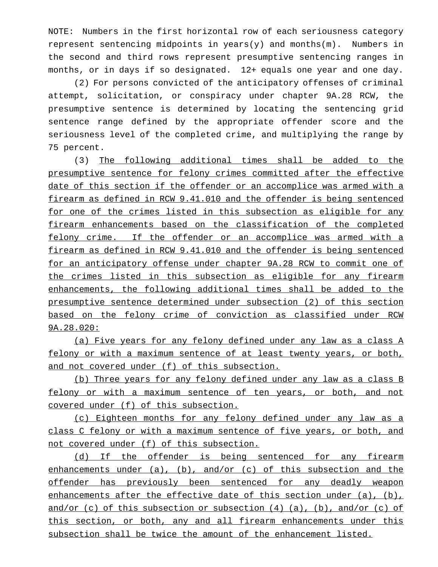NOTE: Numbers in the first horizontal row of each seriousness category represent sentencing midpoints in years(y) and months(m). Numbers in the second and third rows represent presumptive sentencing ranges in months, or in days if so designated. 12+ equals one year and one day.

(2) For persons convicted of the anticipatory offenses of criminal attempt, solicitation, or conspiracy under chapter 9A.28 RCW, the presumptive sentence is determined by locating the sentencing grid sentence range defined by the appropriate offender score and the seriousness level of the completed crime, and multiplying the range by 75 percent.

(3) The following additional times shall be added to the presumptive sentence for felony crimes committed after the effective date of this section if the offender or an accomplice was armed with a firearm as defined in RCW 9.41.010 and the offender is being sentenced for one of the crimes listed in this subsection as eligible for any firearm enhancements based on the classification of the completed felony crime. If the offender or an accomplice was armed with a firearm as defined in RCW 9.41.010 and the offender is being sentenced for an anticipatory offense under chapter 9A.28 RCW to commit one of the crimes listed in this subsection as eligible for any firearm enhancements, the following additional times shall be added to the presumptive sentence determined under subsection (2) of this section based on the felony crime of conviction as classified under RCW 9A.28.020:

(a) Five years for any felony defined under any law as a class A felony or with a maximum sentence of at least twenty years, or both, and not covered under (f) of this subsection.

(b) Three years for any felony defined under any law as a class B felony or with a maximum sentence of ten years, or both, and not covered under (f) of this subsection.

(c) Eighteen months for any felony defined under any law as a class C felony or with a maximum sentence of five years, or both, and not covered under (f) of this subsection.

(d) If the offender is being sentenced for any firearm enhancements under  $(a)$ ,  $(b)$ , and/or  $(c)$  of this subsection and the offender has previously been sentenced for any deadly weapon enhancements after the effective date of this section under (a), (b), and/or (c) of this subsection or subsection  $(4)$   $(a)$ ,  $(b)$ , and/or (c) of this section, or both, any and all firearm enhancements under this subsection shall be twice the amount of the enhancement listed.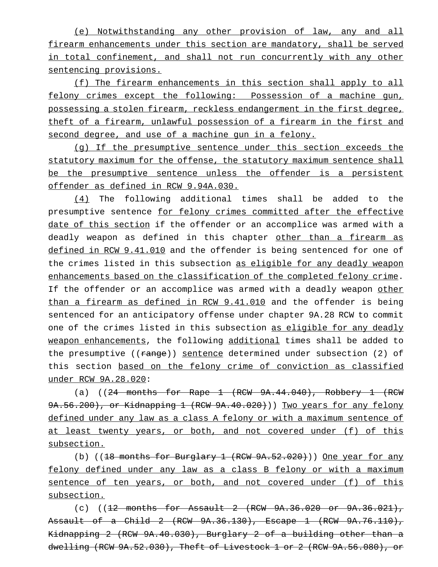(e) Notwithstanding any other provision of law, any and all firearm enhancements under this section are mandatory, shall be served in total confinement, and shall not run concurrently with any other sentencing provisions.

(f) The firearm enhancements in this section shall apply to all felony crimes except the following: Possession of a machine gun, possessing a stolen firearm, reckless endangerment in the first degree, theft of a firearm, unlawful possession of a firearm in the first and second degree, and use of a machine gun in a felony.

(g) If the presumptive sentence under this section exceeds the statutory maximum for the offense, the statutory maximum sentence shall be the presumptive sentence unless the offender is a persistent offender as defined in RCW 9.94A.030.

(4) The following additional times shall be added to the presumptive sentence for felony crimes committed after the effective date of this section if the offender or an accomplice was armed with a deadly weapon as defined in this chapter other than a firearm as defined in RCW 9.41.010 and the offender is being sentenced for one of the crimes listed in this subsection as eligible for any deadly weapon enhancements based on the classification of the completed felony crime. If the offender or an accomplice was armed with a deadly weapon other than a firearm as defined in RCW 9.41.010 and the offender is being sentenced for an anticipatory offense under chapter 9A.28 RCW to commit one of the crimes listed in this subsection as eligible for any deadly weapon enhancements, the following additional times shall be added to the presumptive ((range)) sentence determined under subsection (2) of this section based on the felony crime of conviction as classified under RCW 9A.28.020:

(a) (( $24$  months for Rape  $1$  (RCW  $9A.44.040$ ), Robbery  $1$  (RCW 9A.56.200), or Kidnapping 1 (RCW 9A.40.020))) Two years for any felony defined under any law as a class A felony or with a maximum sentence of at least twenty years, or both, and not covered under (f) of this subsection.

(b)  $((18 \text{ months} for Burglary 1 (RCW 9A.52.020)) )$  One year for any felony defined under any law as a class B felony or with a maximum sentence of ten years, or both, and not covered under (f) of this subsection.

(c)  $((12 \text{ months} for Assume 2 (RCW 9A.36.020 or 9A.36.021))$ Assault of a Child 2 (RCW 9A.36.130), Escape 1 (RCW 9A.76.110), Kidnapping 2 (RCW 9A.40.030), Burglary 2 of a building other than a dwelling (RCW 9A.52.030), Theft of Livestock 1 or 2 (RCW 9A.56.080), or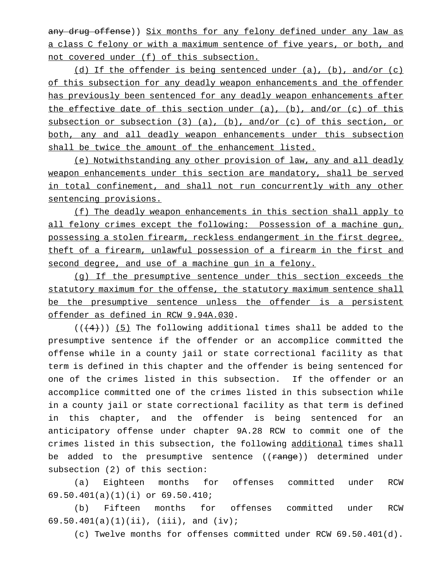any drug offense)) Six months for any felony defined under any law as a class C felony or with a maximum sentence of five years, or both, and not covered under (f) of this subsection.

(d) If the offender is being sentenced under (a), (b), and/or (c) of this subsection for any deadly weapon enhancements and the offender has previously been sentenced for any deadly weapon enhancements after the effective date of this section under (a), (b), and/or (c) of this subsection or subsection (3) (a), (b), and/or (c) of this section, or both, any and all deadly weapon enhancements under this subsection shall be twice the amount of the enhancement listed.

(e) Notwithstanding any other provision of law, any and all deadly weapon enhancements under this section are mandatory, shall be served in total confinement, and shall not run concurrently with any other sentencing provisions.

(f) The deadly weapon enhancements in this section shall apply to all felony crimes except the following: Possession of a machine gun, possessing a stolen firearm, reckless endangerment in the first degree, theft of a firearm, unlawful possession of a firearm in the first and second degree, and use of a machine gun in a felony.

(g) If the presumptive sentence under this section exceeds the statutory maximum for the offense, the statutory maximum sentence shall be the presumptive sentence unless the offender is a persistent offender as defined in RCW 9.94A.030.

 $((+4))$  (5) The following additional times shall be added to the presumptive sentence if the offender or an accomplice committed the offense while in a county jail or state correctional facility as that term is defined in this chapter and the offender is being sentenced for one of the crimes listed in this subsection. If the offender or an accomplice committed one of the crimes listed in this subsection while in a county jail or state correctional facility as that term is defined in this chapter, and the offender is being sentenced for an anticipatory offense under chapter 9A.28 RCW to commit one of the crimes listed in this subsection, the following additional times shall be added to the presumptive sentence ((range)) determined under subsection (2) of this section:

(a) Eighteen months for offenses committed under RCW 69.50.401(a)(1)(i) or 69.50.410;

(b) Fifteen months for offenses committed under RCW 69.50.401(a)(1)(ii), (iii), and (iv);

(c) Twelve months for offenses committed under RCW 69.50.401(d).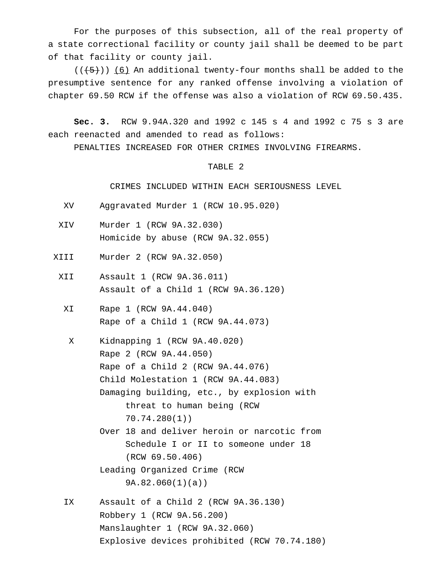For the purposes of this subsection, all of the real property of a state correctional facility or county jail shall be deemed to be part of that facility or county jail.

 $((+5))$  (6) An additional twenty-four months shall be added to the presumptive sentence for any ranked offense involving a violation of chapter 69.50 RCW if the offense was also a violation of RCW 69.50.435.

**Sec. 3.** RCW 9.94A.320 and 1992 c 145 s 4 and 1992 c 75 s 3 are each reenacted and amended to read as follows:

PENALTIES INCREASED FOR OTHER CRIMES INVOLVING FIREARMS.

# TABLE 2

CRIMES INCLUDED WITHIN EACH SERIOUSNESS LEVEL

- XV Aggravated Murder 1 (RCW 10.95.020)
- XIV Murder 1 (RCW 9A.32.030) Homicide by abuse (RCW 9A.32.055)
- XIII Murder 2 (RCW 9A.32.050)
	- XII Assault 1 (RCW 9A.36.011) Assault of a Child 1 (RCW 9A.36.120)
		- XI Rape 1 (RCW 9A.44.040) Rape of a Child 1 (RCW 9A.44.073)
			- X Kidnapping 1 (RCW 9A.40.020) Rape 2 (RCW 9A.44.050) Rape of a Child 2 (RCW 9A.44.076) Child Molestation 1 (RCW 9A.44.083) Damaging building, etc., by explosion with threat to human being (RCW 70.74.280(1))
				- Over 18 and deliver heroin or narcotic from Schedule I or II to someone under 18 (RCW 69.50.406)
				- Leading Organized Crime (RCW 9A.82.060(1)(a))
		- IX Assault of a Child 2 (RCW 9A.36.130) Robbery 1 (RCW 9A.56.200) Manslaughter 1 (RCW 9A.32.060) Explosive devices prohibited (RCW 70.74.180)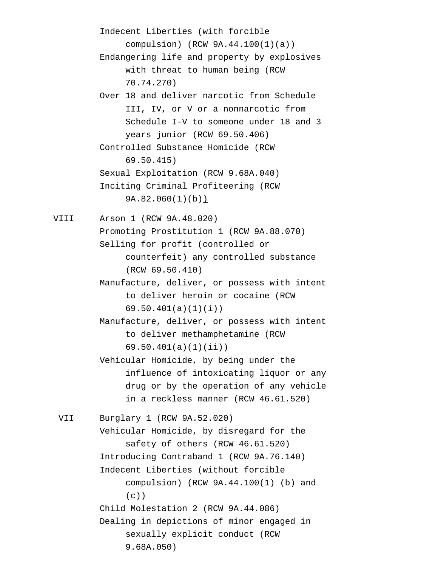Indecent Liberties (with forcible compulsion) (RCW 9A.44.100(1)(a)) Endangering life and property by explosives with threat to human being (RCW 70.74.270) Over 18 and deliver narcotic from Schedule III, IV, or V or a nonnarcotic from Schedule I-V to someone under 18 and 3 years junior (RCW 69.50.406) Controlled Substance Homicide (RCW 69.50.415) Sexual Exploitation (RCW 9.68A.040) Inciting Criminal Profiteering (RCW 9A.82.060(1)(b)) VIII Arson 1 (RCW 9A.48.020) Promoting Prostitution 1 (RCW 9A.88.070) Selling for profit (controlled or counterfeit) any controlled substance (RCW 69.50.410) Manufacture, deliver, or possess with intent to deliver heroin or cocaine (RCW 69.50.401(a)(1)(i)) Manufacture, deliver, or possess with intent to deliver methamphetamine (RCW 69.50.401(a)(1)(ii)) Vehicular Homicide, by being under the influence of intoxicating liquor or any drug or by the operation of any vehicle in a reckless manner (RCW 46.61.520) VII Burglary 1 (RCW 9A.52.020) Vehicular Homicide, by disregard for the safety of others (RCW 46.61.520) Introducing Contraband 1 (RCW 9A.76.140) Indecent Liberties (without forcible compulsion) (RCW 9A.44.100(1) (b) and  $(c)$ ) Child Molestation 2 (RCW 9A.44.086) Dealing in depictions of minor engaged in sexually explicit conduct (RCW 9.68A.050)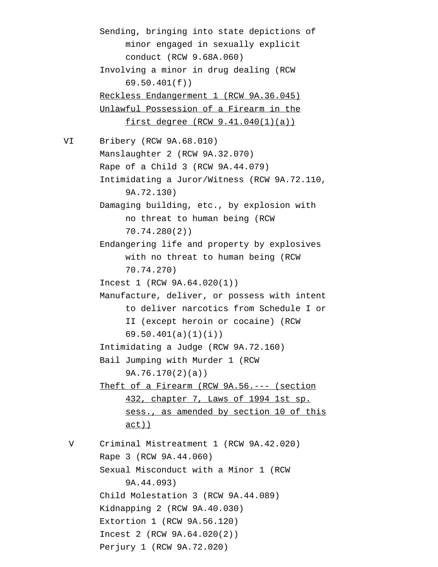Sending, bringing into state depictions of minor engaged in sexually explicit conduct (RCW 9.68A.060) Involving a minor in drug dealing (RCW 69.50.401(f)) Reckless Endangerment 1 (RCW 9A.36.045) Unlawful Possession of a Firearm in the first degree (RCW 9.41.040(1)(a)) VI Bribery (RCW 9A.68.010) Manslaughter 2 (RCW 9A.32.070) Rape of a Child 3 (RCW 9A.44.079) Intimidating a Juror/Witness (RCW 9A.72.110, 9A.72.130) Damaging building, etc., by explosion with no threat to human being (RCW 70.74.280(2)) Endangering life and property by explosives with no threat to human being (RCW 70.74.270) Incest 1 (RCW 9A.64.020(1)) Manufacture, deliver, or possess with intent to deliver narcotics from Schedule I or II (except heroin or cocaine) (RCW 69.50.401(a)(1)(i)) Intimidating a Judge (RCW 9A.72.160) Bail Jumping with Murder 1 (RCW 9A.76.170(2)(a)) Theft of a Firearm (RCW 9A.56. --- (section 432, chapter 7, Laws of 1994 1st sp. sess., as amended by section 10 of this act)) V Criminal Mistreatment 1 (RCW 9A.42.020) Rape 3 (RCW 9A.44.060) Sexual Misconduct with a Minor 1 (RCW 9A.44.093) Child Molestation 3 (RCW 9A.44.089) Kidnapping 2 (RCW 9A.40.030) Extortion 1 (RCW 9A.56.120) Incest 2 (RCW 9A.64.020(2)) Perjury 1 (RCW 9A.72.020)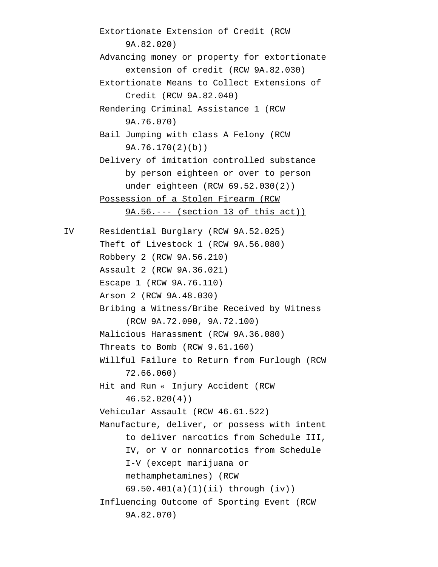Extortionate Extension of Credit (RCW 9A.82.020) Advancing money or property for extortionate extension of credit (RCW 9A.82.030) Extortionate Means to Collect Extensions of Credit (RCW 9A.82.040) Rendering Criminal Assistance 1 (RCW 9A.76.070) Bail Jumping with class A Felony (RCW 9A.76.170(2)(b)) Delivery of imitation controlled substance by person eighteen or over to person under eighteen (RCW 69.52.030(2)) Possession of a Stolen Firearm (RCW 9A.56.--- (section 13 of this act)) IV Residential Burglary (RCW 9A.52.025) Theft of Livestock 1 (RCW 9A.56.080) Robbery 2 (RCW 9A.56.210) Assault 2 (RCW 9A.36.021) Escape 1 (RCW 9A.76.110) Arson 2 (RCW 9A.48.030) Bribing a Witness/Bribe Received by Witness (RCW 9A.72.090, 9A.72.100) Malicious Harassment (RCW 9A.36.080) Threats to Bomb (RCW 9.61.160) Willful Failure to Return from Furlough (RCW 72.66.060) Hit and Run « Injury Accident (RCW 46.52.020(4)) Vehicular Assault (RCW 46.61.522) Manufacture, deliver, or possess with intent to deliver narcotics from Schedule III, IV, or V or nonnarcotics from Schedule I-V (except marijuana or methamphetamines) (RCW 69.50.401(a)(1)(ii) through (iv)) Influencing Outcome of Sporting Event (RCW 9A.82.070)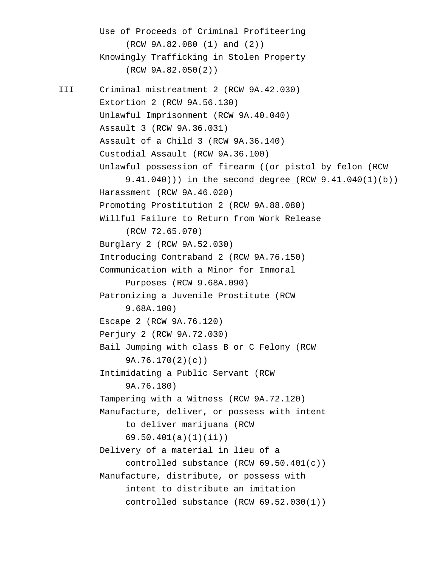Use of Proceeds of Criminal Profiteering (RCW 9A.82.080 (1) and (2)) Knowingly Trafficking in Stolen Property (RCW 9A.82.050(2)) III Criminal mistreatment 2 (RCW 9A.42.030) Extortion 2 (RCW 9A.56.130) Unlawful Imprisonment (RCW 9A.40.040) Assault 3 (RCW 9A.36.031) Assault of a Child 3 (RCW 9A.36.140) Custodial Assault (RCW 9A.36.100) Unlawful possession of firearm ((or pistol by felon (RCW 9.41.040)) in the second degree (RCW 9.41.040(1)(b)) Harassment (RCW 9A.46.020) Promoting Prostitution 2 (RCW 9A.88.080) Willful Failure to Return from Work Release (RCW 72.65.070) Burglary 2 (RCW 9A.52.030) Introducing Contraband 2 (RCW 9A.76.150) Communication with a Minor for Immoral Purposes (RCW 9.68A.090) Patronizing a Juvenile Prostitute (RCW 9.68A.100) Escape 2 (RCW 9A.76.120) Perjury 2 (RCW 9A.72.030) Bail Jumping with class B or C Felony (RCW 9A.76.170(2)(c)) Intimidating a Public Servant (RCW 9A.76.180) Tampering with a Witness (RCW 9A.72.120) Manufacture, deliver, or possess with intent to deliver marijuana (RCW 69.50.401(a)(1)(ii)) Delivery of a material in lieu of a controlled substance (RCW 69.50.401(c)) Manufacture, distribute, or possess with intent to distribute an imitation controlled substance (RCW 69.52.030(1))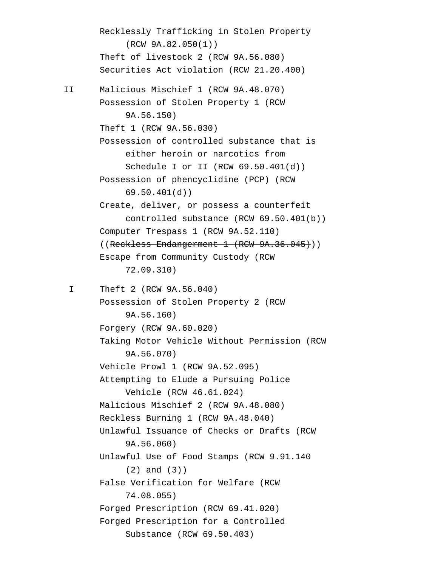Recklessly Trafficking in Stolen Property (RCW 9A.82.050(1)) Theft of livestock 2 (RCW 9A.56.080) Securities Act violation (RCW 21.20.400) II Malicious Mischief 1 (RCW 9A.48.070) Possession of Stolen Property 1 (RCW 9A.56.150) Theft 1 (RCW 9A.56.030) Possession of controlled substance that is either heroin or narcotics from Schedule I or II (RCW 69.50.401(d)) Possession of phencyclidine (PCP) (RCW 69.50.401(d)) Create, deliver, or possess a counterfeit controlled substance (RCW 69.50.401(b)) Computer Trespass 1 (RCW 9A.52.110) ((Reckless Endangerment 1 (RCW 9A.36.045))) Escape from Community Custody (RCW 72.09.310) I Theft 2 (RCW 9A.56.040) Possession of Stolen Property 2 (RCW 9A.56.160) Forgery (RCW 9A.60.020) Taking Motor Vehicle Without Permission (RCW 9A.56.070) Vehicle Prowl 1 (RCW 9A.52.095) Attempting to Elude a Pursuing Police Vehicle (RCW 46.61.024) Malicious Mischief 2 (RCW 9A.48.080) Reckless Burning 1 (RCW 9A.48.040) Unlawful Issuance of Checks or Drafts (RCW 9A.56.060) Unlawful Use of Food Stamps (RCW 9.91.140 (2) and (3)) False Verification for Welfare (RCW 74.08.055) Forged Prescription (RCW 69.41.020) Forged Prescription for a Controlled Substance (RCW 69.50.403)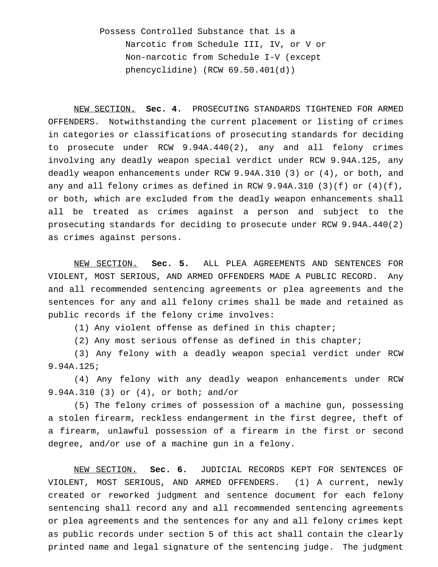Possess Controlled Substance that is a Narcotic from Schedule III, IV, or V or Non-narcotic from Schedule I-V (except phencyclidine) (RCW 69.50.401(d))

NEW SECTION. **Sec. 4.** PROSECUTING STANDARDS TIGHTENED FOR ARMED OFFENDERS. Notwithstanding the current placement or listing of crimes in categories or classifications of prosecuting standards for deciding to prosecute under RCW 9.94A.440(2), any and all felony crimes involving any deadly weapon special verdict under RCW 9.94A.125, any deadly weapon enhancements under RCW 9.94A.310 (3) or (4), or both, and any and all felony crimes as defined in RCW 9.94A.310 (3)(f) or (4)(f), or both, which are excluded from the deadly weapon enhancements shall all be treated as crimes against a person and subject to the prosecuting standards for deciding to prosecute under RCW 9.94A.440(2) as crimes against persons.

NEW SECTION. **Sec. 5.** ALL PLEA AGREEMENTS AND SENTENCES FOR VIOLENT, MOST SERIOUS, AND ARMED OFFENDERS MADE A PUBLIC RECORD. Any and all recommended sentencing agreements or plea agreements and the sentences for any and all felony crimes shall be made and retained as public records if the felony crime involves:

(1) Any violent offense as defined in this chapter;

(2) Any most serious offense as defined in this chapter;

(3) Any felony with a deadly weapon special verdict under RCW 9.94A.125;

(4) Any felony with any deadly weapon enhancements under RCW 9.94A.310 (3) or (4), or both; and/or

(5) The felony crimes of possession of a machine gun, possessing a stolen firearm, reckless endangerment in the first degree, theft of a firearm, unlawful possession of a firearm in the first or second degree, and/or use of a machine gun in a felony.

NEW SECTION. **Sec. 6.** JUDICIAL RECORDS KEPT FOR SENTENCES OF VIOLENT, MOST SERIOUS, AND ARMED OFFENDERS. (1) A current, newly created or reworked judgment and sentence document for each felony sentencing shall record any and all recommended sentencing agreements or plea agreements and the sentences for any and all felony crimes kept as public records under section 5 of this act shall contain the clearly printed name and legal signature of the sentencing judge. The judgment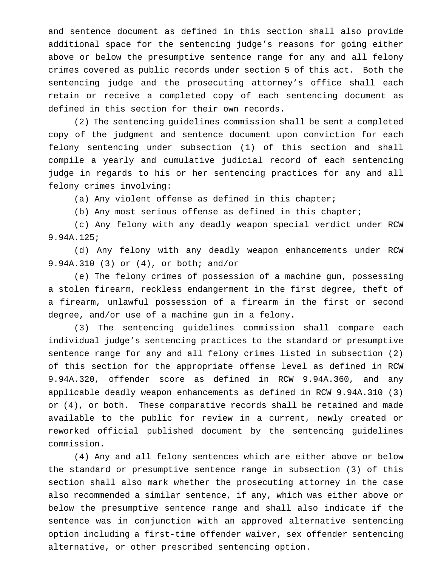and sentence document as defined in this section shall also provide additional space for the sentencing judge's reasons for going either above or below the presumptive sentence range for any and all felony crimes covered as public records under section 5 of this act. Both the sentencing judge and the prosecuting attorney's office shall each retain or receive a completed copy of each sentencing document as defined in this section for their own records.

(2) The sentencing guidelines commission shall be sent a completed copy of the judgment and sentence document upon conviction for each felony sentencing under subsection (1) of this section and shall compile a yearly and cumulative judicial record of each sentencing judge in regards to his or her sentencing practices for any and all felony crimes involving:

(a) Any violent offense as defined in this chapter;

(b) Any most serious offense as defined in this chapter;

(c) Any felony with any deadly weapon special verdict under RCW 9.94A.125;

(d) Any felony with any deadly weapon enhancements under RCW 9.94A.310 (3) or (4), or both; and/or

(e) The felony crimes of possession of a machine gun, possessing a stolen firearm, reckless endangerment in the first degree, theft of a firearm, unlawful possession of a firearm in the first or second degree, and/or use of a machine gun in a felony.

(3) The sentencing guidelines commission shall compare each individual judge's sentencing practices to the standard or presumptive sentence range for any and all felony crimes listed in subsection (2) of this section for the appropriate offense level as defined in RCW 9.94A.320, offender score as defined in RCW 9.94A.360, and any applicable deadly weapon enhancements as defined in RCW 9.94A.310 (3) or (4), or both. These comparative records shall be retained and made available to the public for review in a current, newly created or reworked official published document by the sentencing guidelines commission.

(4) Any and all felony sentences which are either above or below the standard or presumptive sentence range in subsection (3) of this section shall also mark whether the prosecuting attorney in the case also recommended a similar sentence, if any, which was either above or below the presumptive sentence range and shall also indicate if the sentence was in conjunction with an approved alternative sentencing option including a first-time offender waiver, sex offender sentencing alternative, or other prescribed sentencing option.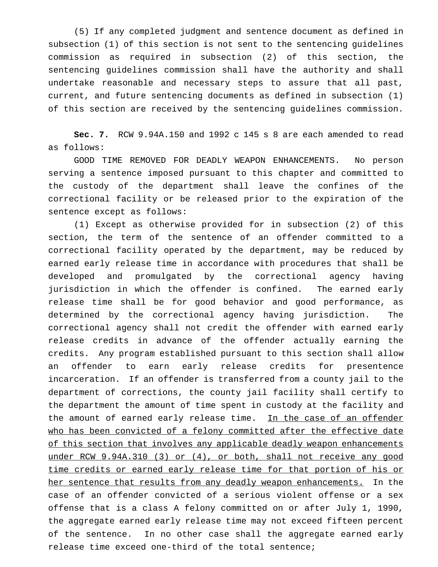(5) If any completed judgment and sentence document as defined in subsection (1) of this section is not sent to the sentencing guidelines commission as required in subsection (2) of this section, the sentencing guidelines commission shall have the authority and shall undertake reasonable and necessary steps to assure that all past, current, and future sentencing documents as defined in subsection (1) of this section are received by the sentencing guidelines commission.

**Sec. 7.** RCW 9.94A.150 and 1992 c 145 s 8 are each amended to read as follows:

GOOD TIME REMOVED FOR DEADLY WEAPON ENHANCEMENTS. No person serving a sentence imposed pursuant to this chapter and committed to the custody of the department shall leave the confines of the correctional facility or be released prior to the expiration of the sentence except as follows:

(1) Except as otherwise provided for in subsection (2) of this section, the term of the sentence of an offender committed to a correctional facility operated by the department, may be reduced by earned early release time in accordance with procedures that shall be developed and promulgated by the correctional agency having jurisdiction in which the offender is confined. The earned early release time shall be for good behavior and good performance, as determined by the correctional agency having jurisdiction. The correctional agency shall not credit the offender with earned early release credits in advance of the offender actually earning the credits. Any program established pursuant to this section shall allow an offender to earn early release credits for presentence incarceration. If an offender is transferred from a county jail to the department of corrections, the county jail facility shall certify to the department the amount of time spent in custody at the facility and the amount of earned early release time. In the case of an offender who has been convicted of a felony committed after the effective date of this section that involves any applicable deadly weapon enhancements under RCW 9.94A.310 (3) or (4), or both, shall not receive any good time credits or earned early release time for that portion of his or her sentence that results from any deadly weapon enhancements. In the case of an offender convicted of a serious violent offense or a sex offense that is a class A felony committed on or after July 1, 1990, the aggregate earned early release time may not exceed fifteen percent of the sentence. In no other case shall the aggregate earned early release time exceed one-third of the total sentence;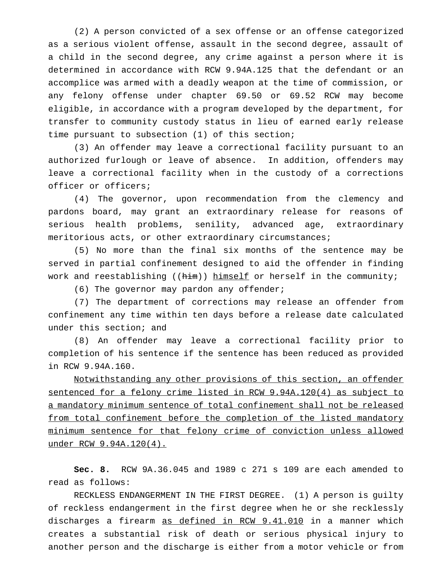(2) A person convicted of a sex offense or an offense categorized as a serious violent offense, assault in the second degree, assault of a child in the second degree, any crime against a person where it is determined in accordance with RCW 9.94A.125 that the defendant or an accomplice was armed with a deadly weapon at the time of commission, or any felony offense under chapter 69.50 or 69.52 RCW may become eligible, in accordance with a program developed by the department, for transfer to community custody status in lieu of earned early release time pursuant to subsection (1) of this section;

(3) An offender may leave a correctional facility pursuant to an authorized furlough or leave of absence. In addition, offenders may leave a correctional facility when in the custody of a corrections officer or officers;

(4) The governor, upon recommendation from the clemency and pardons board, may grant an extraordinary release for reasons of serious health problems, senility, advanced age, extraordinary meritorious acts, or other extraordinary circumstances;

(5) No more than the final six months of the sentence may be served in partial confinement designed to aid the offender in finding work and reestablishing ( $(him)$ ) himself or herself in the community;

(6) The governor may pardon any offender;

(7) The department of corrections may release an offender from confinement any time within ten days before a release date calculated under this section; and

(8) An offender may leave a correctional facility prior to completion of his sentence if the sentence has been reduced as provided in RCW 9.94A.160.

Notwithstanding any other provisions of this section, an offender sentenced for a felony crime listed in RCW 9.94A.120(4) as subject to a mandatory minimum sentence of total confinement shall not be released from total confinement before the completion of the listed mandatory minimum sentence for that felony crime of conviction unless allowed under RCW 9.94A.120(4).

**Sec. 8.** RCW 9A.36.045 and 1989 c 271 s 109 are each amended to read as follows:

RECKLESS ENDANGERMENT IN THE FIRST DEGREE. (1) A person is guilty of reckless endangerment in the first degree when he or she recklessly discharges a firearm as defined in RCW 9.41.010 in a manner which creates a substantial risk of death or serious physical injury to another person and the discharge is either from a motor vehicle or from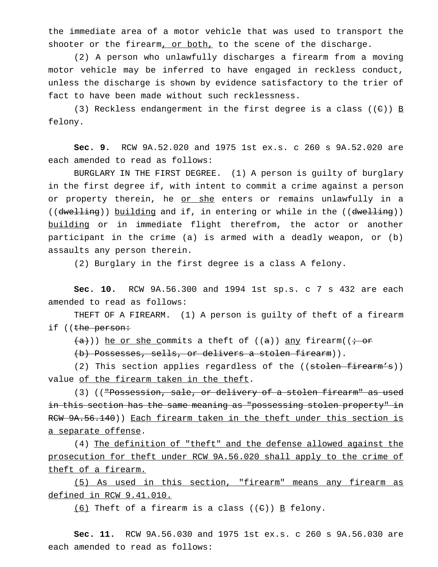the immediate area of a motor vehicle that was used to transport the shooter or the firearm, or both, to the scene of the discharge.

(2) A person who unlawfully discharges a firearm from a moving motor vehicle may be inferred to have engaged in reckless conduct, unless the discharge is shown by evidence satisfactory to the trier of fact to have been made without such recklessness.

(3) Reckless endangerment in the first degree is a class (( $E$ ))  $\underline{B}$ felony.

**Sec. 9.** RCW 9A.52.020 and 1975 1st ex.s. c 260 s 9A.52.020 are each amended to read as follows:

BURGLARY IN THE FIRST DEGREE. (1) A person is guilty of burglary in the first degree if, with intent to commit a crime against a person or property therein, he or she enters or remains unlawfully in a ((dwelling)) building and if, in entering or while in the ((dwelling)) building or in immediate flight therefrom, the actor or another participant in the crime (a) is armed with a deadly weapon, or (b) assaults any person therein.

(2) Burglary in the first degree is a class A felony.

**Sec. 10.** RCW 9A.56.300 and 1994 1st sp.s. c 7 s 432 are each amended to read as follows:

THEFT OF A FIREARM. (1) A person is guilty of theft of a firearm if ((<del>the person:</del>

 $(a+))$ ) he or she commits a theft of ((a)) any firearm(( $\dot{a}$ )

(b) Possesses, sells, or delivers a stolen firearm)).

(2) This section applies regardless of the ((stolen firearm's)) value of the firearm taken in the theft.

(3) (("Possession, sale, or delivery of a stolen firearm" as used in this section has the same meaning as "possessing stolen property" in RCW 9A.56.140)) Each firearm taken in the theft under this section is a separate offense.

(4) The definition of "theft" and the defense allowed against the prosecution for theft under RCW 9A.56.020 shall apply to the crime of theft of a firearm.

(5) As used in this section, "firearm" means any firearm as defined in RCW 9.41.010.

 $(6)$  Theft of a firearm is a class  $((e))$  B felony.

**Sec. 11.** RCW 9A.56.030 and 1975 1st ex.s. c 260 s 9A.56.030 are each amended to read as follows: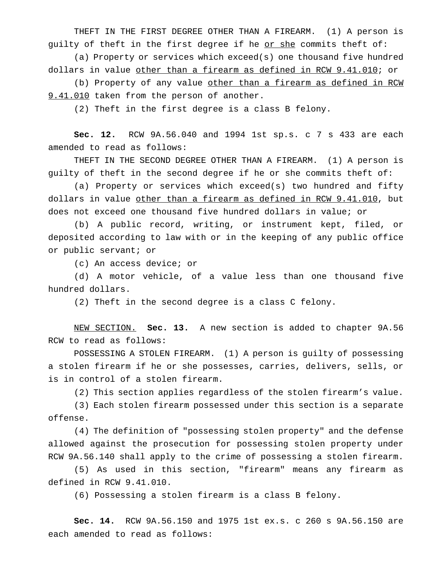THEFT IN THE FIRST DEGREE OTHER THAN A FIREARM. (1) A person is guilty of theft in the first degree if he or she commits theft of:

(a) Property or services which exceed(s) one thousand five hundred dollars in value other than a firearm as defined in RCW 9.41.010; or

(b) Property of any value other than a firearm as defined in RCW 9.41.010 taken from the person of another.

(2) Theft in the first degree is a class B felony.

**Sec. 12.** RCW 9A.56.040 and 1994 1st sp.s. c 7 s 433 are each amended to read as follows:

THEFT IN THE SECOND DEGREE OTHER THAN A FIREARM. (1) A person is guilty of theft in the second degree if he or she commits theft of:

(a) Property or services which exceed(s) two hundred and fifty dollars in value other than a firearm as defined in RCW 9.41.010, but does not exceed one thousand five hundred dollars in value; or

(b) A public record, writing, or instrument kept, filed, or deposited according to law with or in the keeping of any public office or public servant; or

(c) An access device; or

(d) A motor vehicle, of a value less than one thousand five hundred dollars.

(2) Theft in the second degree is a class C felony.

NEW SECTION. **Sec. 13.** A new section is added to chapter 9A.56 RCW to read as follows:

POSSESSING A STOLEN FIREARM. (1) A person is guilty of possessing a stolen firearm if he or she possesses, carries, delivers, sells, or is in control of a stolen firearm.

(2) This section applies regardless of the stolen firearm's value.

(3) Each stolen firearm possessed under this section is a separate offense.

(4) The definition of "possessing stolen property" and the defense allowed against the prosecution for possessing stolen property under RCW 9A.56.140 shall apply to the crime of possessing a stolen firearm.

(5) As used in this section, "firearm" means any firearm as defined in RCW 9.41.010.

(6) Possessing a stolen firearm is a class B felony.

**Sec. 14.** RCW 9A.56.150 and 1975 1st ex.s. c 260 s 9A.56.150 are each amended to read as follows: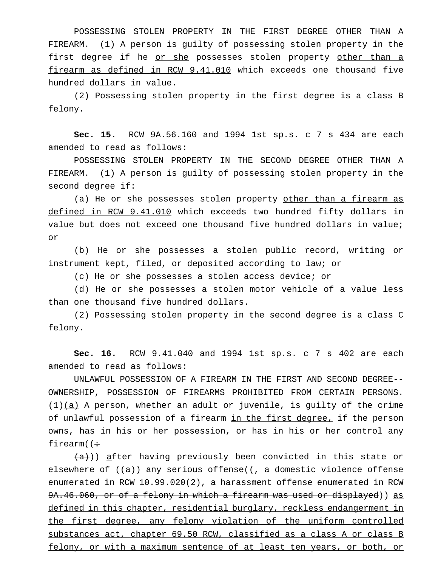POSSESSING STOLEN PROPERTY IN THE FIRST DEGREE OTHER THAN A FIREARM. (1) A person is guilty of possessing stolen property in the first degree if he <u>or she</u> possesses stolen property <u>other than a</u> firearm as defined in RCW 9.41.010 which exceeds one thousand five hundred dollars in value.

(2) Possessing stolen property in the first degree is a class B felony.

**Sec. 15.** RCW 9A.56.160 and 1994 1st sp.s. c 7 s 434 are each amended to read as follows:

POSSESSING STOLEN PROPERTY IN THE SECOND DEGREE OTHER THAN A FIREARM. (1) A person is guilty of possessing stolen property in the second degree if:

(a) He or she possesses stolen property other than a firearm as defined in RCW 9.41.010 which exceeds two hundred fifty dollars in value but does not exceed one thousand five hundred dollars in value; or

(b) He or she possesses a stolen public record, writing or instrument kept, filed, or deposited according to law; or

(c) He or she possesses a stolen access device; or

(d) He or she possesses a stolen motor vehicle of a value less than one thousand five hundred dollars.

(2) Possessing stolen property in the second degree is a class C felony.

**Sec. 16.** RCW 9.41.040 and 1994 1st sp.s. c 7 s 402 are each amended to read as follows:

UNLAWFUL POSSESSION OF A FIREARM IN THE FIRST AND SECOND DEGREE-- OWNERSHIP, POSSESSION OF FIREARMS PROHIBITED FROM CERTAIN PERSONS.  $(1)(a)$  A person, whether an adult or juvenile, is guilty of the crime of unlawful possession of a firearm in the first degree, if the person owns, has in his or her possession, or has in his or her control any firearm( $\div$ 

 $(a)$ )) after having previously been convicted in this state or elsewhere of  $((a))$  any serious offense $((a, b)$  a domestic violence offense enumerated in RCW 10.99.020(2), a harassment offense enumerated in RCW 9A.46.060, or of a felony in which a firearm was used or displayed)) as defined in this chapter, residential burglary, reckless endangerment in the first degree, any felony violation of the uniform controlled substances act, chapter 69.50 RCW, classified as a class A or class B felony, or with a maximum sentence of at least ten years, or both, or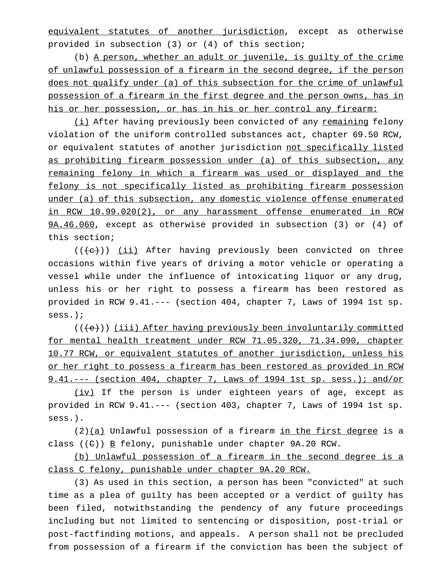equivalent statutes of another jurisdiction, except as otherwise provided in subsection (3) or (4) of this section;

(b) A person, whether an adult or juvenile, is guilty of the crime of unlawful possession of a firearm in the second degree, if the person does not qualify under (a) of this subsection for the crime of unlawful possession of a firearm in the first degree and the person owns, has in his or her possession, or has in his or her control any firearm:

(i) After having previously been convicted of any remaining felony violation of the uniform controlled substances act, chapter 69.50 RCW, or equivalent statutes of another jurisdiction not specifically listed as prohibiting firearm possession under (a) of this subsection, any remaining felony in which a firearm was used or displayed and the felony is not specifically listed as prohibiting firearm possession under (a) of this subsection, any domestic violence offense enumerated in RCW 10.99.020(2), or any harassment offense enumerated in RCW 9A.46.060, except as otherwise provided in subsection (3) or (4) of this section;

 $((\langle e \rangle))$  (ii) After having previously been convicted on three occasions within five years of driving a motor vehicle or operating a vessel while under the influence of intoxicating liquor or any drug, unless his or her right to possess a firearm has been restored as provided in RCW 9.41.--- (section 404, chapter 7, Laws of 1994 1st sp. sess.);

(((e))) (iii) After having previously been involuntarily committed for mental health treatment under RCW 71.05.320, 71.34.090, chapter 10.77 RCW, or equivalent statutes of another jurisdiction, unless his or her right to possess a firearm has been restored as provided in RCW 9.41.--- (section 404, chapter 7, Laws of 1994 1st sp. sess.); and/or

(iv) If the person is under eighteen years of age, except as provided in RCW 9.41.--- (section 403, chapter 7, Laws of 1994 1st sp. sess.).

 $(2)$  (a) Unlawful possession of a firearm in the first degree is a class  $((e))$  B felony, punishable under chapter 9A.20 RCW.

(b) Unlawful possession of a firearm in the second degree is a class C felony, punishable under chapter 9A.20 RCW.

(3) As used in this section, a person has been "convicted" at such time as a plea of guilty has been accepted or a verdict of guilty has been filed, notwithstanding the pendency of any future proceedings including but not limited to sentencing or disposition, post-trial or post-factfinding motions, and appeals. A person shall not be precluded from possession of a firearm if the conviction has been the subject of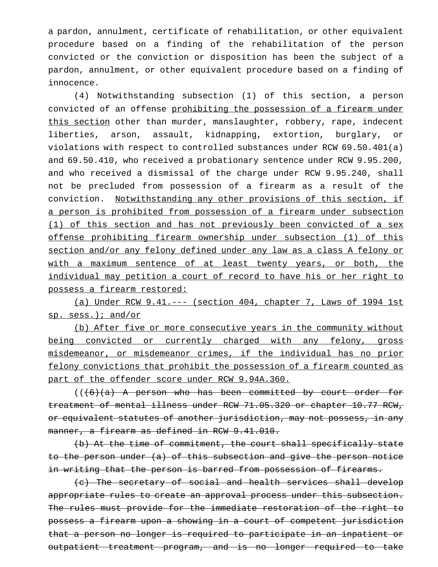a pardon, annulment, certificate of rehabilitation, or other equivalent procedure based on a finding of the rehabilitation of the person convicted or the conviction or disposition has been the subject of a pardon, annulment, or other equivalent procedure based on a finding of innocence.

(4) Notwithstanding subsection (1) of this section, a person convicted of an offense prohibiting the possession of a firearm under this section other than murder, manslaughter, robbery, rape, indecent liberties, arson, assault, kidnapping, extortion, burglary, or violations with respect to controlled substances under RCW 69.50.401(a) and 69.50.410, who received a probationary sentence under RCW 9.95.200, and who received a dismissal of the charge under RCW 9.95.240, shall not be precluded from possession of a firearm as a result of the conviction. Notwithstanding any other provisions of this section, if a person is prohibited from possession of a firearm under subsection (1) of this section and has not previously been convicted of a sex offense prohibiting firearm ownership under subsection (1) of this section and/or any felony defined under any law as a class A felony or with a maximum sentence of at least twenty years, or both, the individual may petition a court of record to have his or her right to possess a firearm restored:

(a) Under RCW 9.41.--- (section 404, chapter 7, Laws of 1994 1st sp. sess.); and/or

(b) After five or more consecutive years in the community without being convicted or currently charged with any felony, gross misdemeanor, or misdemeanor crimes, if the individual has no prior felony convictions that prohibit the possession of a firearm counted as part of the offender score under RCW 9.94A.360.

 $((6)(a)$  A person who has been committed by court order for treatment of mental illness under RCW 71.05.320 or chapter 10.77 RCW, or equivalent statutes of another jurisdiction, may not possess, in any manner, a firearm as defined in RCW 9.41.010.

(b) At the time of commitment, the court shall specifically state to the person under (a) of this subsection and give the person notice in writing that the person is barred from possession of firearms.

(c) The secretary of social and health services shall develop appropriate rules to create an approval process under this subsection. The rules must provide for the immediate restoration of the right to possess a firearm upon a showing in a court of competent jurisdiction that a person no longer is required to participate in an inpatient or outpatient treatment program, and is no longer required to take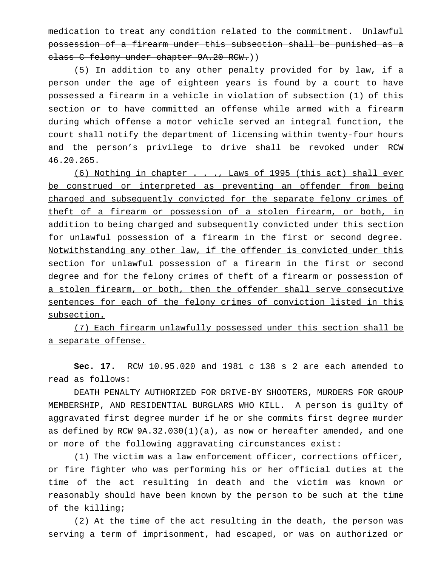medication to treat any condition related to the commitment. Unlawful possession of a firearm under this subsection shall be punished as a class C felony under chapter 9A.20 RCW.))

(5) In addition to any other penalty provided for by law, if a person under the age of eighteen years is found by a court to have possessed a firearm in a vehicle in violation of subsection (1) of this section or to have committed an offense while armed with a firearm during which offense a motor vehicle served an integral function, the court shall notify the department of licensing within twenty-four hours and the person's privilege to drive shall be revoked under RCW 46.20.265.

(6) Nothing in chapter . . ., Laws of 1995 (this act) shall ever be construed or interpreted as preventing an offender from being charged and subsequently convicted for the separate felony crimes of theft of a firearm or possession of a stolen firearm, or both, in addition to being charged and subsequently convicted under this section for unlawful possession of a firearm in the first or second degree. Notwithstanding any other law, if the offender is convicted under this section for unlawful possession of a firearm in the first or second degree and for the felony crimes of theft of a firearm or possession of a stolen firearm, or both, then the offender shall serve consecutive sentences for each of the felony crimes of conviction listed in this subsection.

(7) Each firearm unlawfully possessed under this section shall be a separate offense.

**Sec. 17.** RCW 10.95.020 and 1981 c 138 s 2 are each amended to read as follows:

DEATH PENALTY AUTHORIZED FOR DRIVE-BY SHOOTERS, MURDERS FOR GROUP MEMBERSHIP, AND RESIDENTIAL BURGLARS WHO KILL. A person is guilty of aggravated first degree murder if he or she commits first degree murder as defined by RCW  $9A.32.030(1)(a)$ , as now or hereafter amended, and one or more of the following aggravating circumstances exist:

(1) The victim was a law enforcement officer, corrections officer, or fire fighter who was performing his or her official duties at the time of the act resulting in death and the victim was known or reasonably should have been known by the person to be such at the time of the killing;

(2) At the time of the act resulting in the death, the person was serving a term of imprisonment, had escaped, or was on authorized or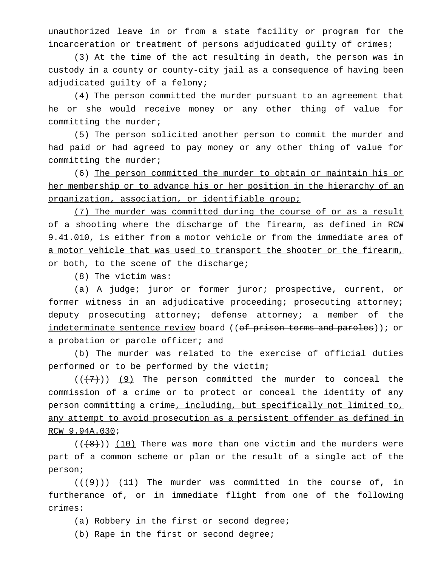unauthorized leave in or from a state facility or program for the incarceration or treatment of persons adjudicated guilty of crimes;

(3) At the time of the act resulting in death, the person was in custody in a county or county-city jail as a consequence of having been adjudicated guilty of a felony;

(4) The person committed the murder pursuant to an agreement that he or she would receive money or any other thing of value for committing the murder;

(5) The person solicited another person to commit the murder and had paid or had agreed to pay money or any other thing of value for committing the murder;

(6) The person committed the murder to obtain or maintain his or her membership or to advance his or her position in the hierarchy of an organization, association, or identifiable group;

(7) The murder was committed during the course of or as a result of a shooting where the discharge of the firearm, as defined in RCW 9.41.010, is either from a motor vehicle or from the immediate area of a motor vehicle that was used to transport the shooter or the firearm, or both, to the scene of the discharge;

(8) The victim was:

(a) A judge; juror or former juror; prospective, current, or former witness in an adjudicative proceeding; prosecuting attorney; deputy prosecuting attorney; defense attorney; a member of the indeterminate sentence review board ((of prison terms and paroles)); or a probation or parole officer; and

(b) The murder was related to the exercise of official duties performed or to be performed by the victim;

 $((+7))$  (9) The person committed the murder to conceal the commission of a crime or to protect or conceal the identity of any person committing a crime, including, but specifically not limited to, any attempt to avoid prosecution as a persistent offender as defined in RCW 9.94A.030;

 $((+8))$  (10) There was more than one victim and the murders were part of a common scheme or plan or the result of a single act of the person;

 $((+9))$  (11) The murder was committed in the course of, in furtherance of, or in immediate flight from one of the following crimes:

- (a) Robbery in the first or second degree;
- (b) Rape in the first or second degree;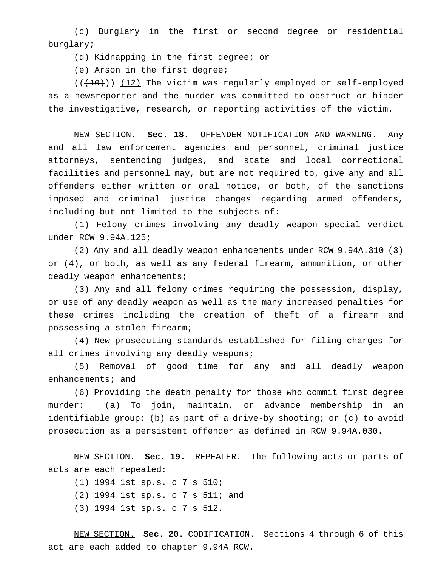(c) Burglary in the first or second degree or residential burglary;

(d) Kidnapping in the first degree; or

(e) Arson in the first degree;

 $((+10))$  (12) The victim was regularly employed or self-employed as a newsreporter and the murder was committed to obstruct or hinder the investigative, research, or reporting activities of the victim.

NEW SECTION. **Sec. 18.** OFFENDER NOTIFICATION AND WARNING. Any and all law enforcement agencies and personnel, criminal justice attorneys, sentencing judges, and state and local correctional facilities and personnel may, but are not required to, give any and all offenders either written or oral notice, or both, of the sanctions imposed and criminal justice changes regarding armed offenders, including but not limited to the subjects of:

(1) Felony crimes involving any deadly weapon special verdict under RCW 9.94A.125;

(2) Any and all deadly weapon enhancements under RCW 9.94A.310 (3) or (4), or both, as well as any federal firearm, ammunition, or other deadly weapon enhancements;

(3) Any and all felony crimes requiring the possession, display, or use of any deadly weapon as well as the many increased penalties for these crimes including the creation of theft of a firearm and possessing a stolen firearm;

(4) New prosecuting standards established for filing charges for all crimes involving any deadly weapons;

(5) Removal of good time for any and all deadly weapon enhancements; and

(6) Providing the death penalty for those who commit first degree murder: (a) To join, maintain, or advance membership in an identifiable group; (b) as part of a drive-by shooting; or (c) to avoid prosecution as a persistent offender as defined in RCW 9.94A.030.

NEW SECTION. **Sec. 19.** REPEALER. The following acts or parts of acts are each repealed:

(1) 1994 1st sp.s.c7s 510;

- (2) 1994 1st sp.s.c7s 511; and
- (3) 1994 1st sp.s.c7s 512.

NEW SECTION. **Sec. 20.** CODIFICATION. Sections 4 through 6 of this act are each added to chapter 9.94A RCW.